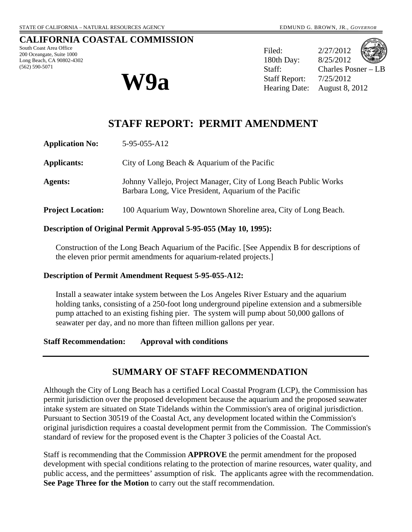#### **CALIFORNIA COASTAL COMMISSION**

South Coast Area Office 200 Oceangate, Suite 1000 Long Beach, CA 90802-4302 (562) 590-5071



Filed: 2/27/2012 180th Day: 8/25/2012 Staff: Charles Posner – LB  $W9a$  Staff Report:  $\frac{7}{25/2012}$ <br>Hearing Date: August 8, 2012

# **STAFF REPORT: PERMIT AMENDMENT**

| <b>Application No:</b>   | 5-95-055-A12                                                                                                              |
|--------------------------|---------------------------------------------------------------------------------------------------------------------------|
| <b>Applicants:</b>       | City of Long Beach & Aquarium of the Pacific                                                                              |
| Agents:                  | Johnny Vallejo, Project Manager, City of Long Beach Public Works<br>Barbara Long, Vice President, Aquarium of the Pacific |
| <b>Project Location:</b> | 100 Aquarium Way, Downtown Shoreline area, City of Long Beach.                                                            |

#### **Description of Original Permit Approval 5-95-055 (May 10, 1995):**

Construction of the Long Beach Aquarium of the Pacific. [See Appendix B for descriptions of the eleven prior permit amendments for aquarium-related projects.]

#### **Description of Permit Amendment Request 5-95-055-A12:**

Install a seawater intake system between the Los Angeles River Estuary and the aquarium holding tanks, consisting of a 250-foot long underground pipeline extension and a submersible pump attached to an existing fishing pier. The system will pump about 50,000 gallons of seawater per day, and no more than fifteen million gallons per year.

**Staff Recommendation: Approval with conditions** 

## **SUMMARY OF STAFF RECOMMENDATION**

Although the City of Long Beach has a certified Local Coastal Program (LCP), the Commission has permit jurisdiction over the proposed development because the aquarium and the proposed seawater intake system are situated on State Tidelands within the Commission's area of original jurisdiction. Pursuant to Section 30519 of the Coastal Act, any development located within the Commission's original jurisdiction requires a coastal development permit from the Commission. The Commission's standard of review for the proposed event is the Chapter 3 policies of the Coastal Act.

Staff is recommending that the Commission **APPROVE** the permit amendment for the proposed development with special conditions relating to the protection of marine resources, water quality, and public access, and the permittees' assumption of risk. The applicants agree with the recommendation. **See Page Three for the Motion** to carry out the staff recommendation.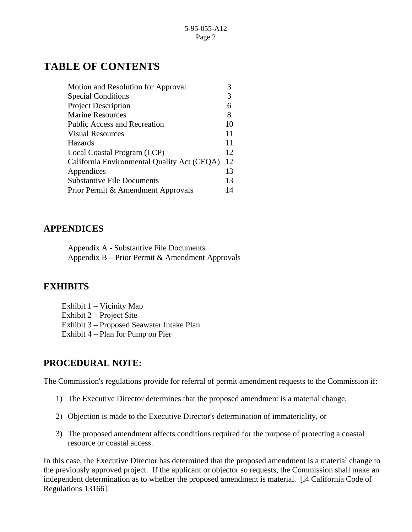# **TABLE OF CONTENTS**

| Motion and Resolution for Approval          |    |
|---------------------------------------------|----|
| <b>Special Conditions</b>                   |    |
| <b>Project Description</b>                  |    |
| <b>Marine Resources</b>                     | 8  |
| <b>Public Access and Recreation</b>         | 10 |
| <b>Visual Resources</b>                     |    |
| Hazards                                     | 11 |
| Local Coastal Program (LCP)                 |    |
| California Environmental Quality Act (CEQA) |    |
| Appendices                                  |    |
| <b>Substantive File Documents</b>           |    |
| Prior Permit & Amendment Approvals          |    |

## **APPENDICES**

Appendix A - Substantive File Documents Appendix B – Prior Permit & Amendment Approvals

## **EXHIBITS**

Exhibit 1 – Vicinity Map Exhibit 2 – Project Site Exhibit 3 – Proposed Seawater Intake Plan Exhibit 4 – Plan for Pump on Pier

## **PROCEDURAL NOTE:**

The Commission's regulations provide for referral of permit amendment requests to the Commission if:

- 1) The Executive Director determines that the proposed amendment is a material change,
- 2) Objection is made to the Executive Director's determination of immateriality, or
- 3) The proposed amendment affects conditions required for the purpose of protecting a coastal resource or coastal access.

In this case, the Executive Director has determined that the proposed amendment is a material change to the previously approved project. If the applicant or objector so requests, the Commission shall make an independent determination as to whether the proposed amendment is material. [l4 California Code of Regulations 13166].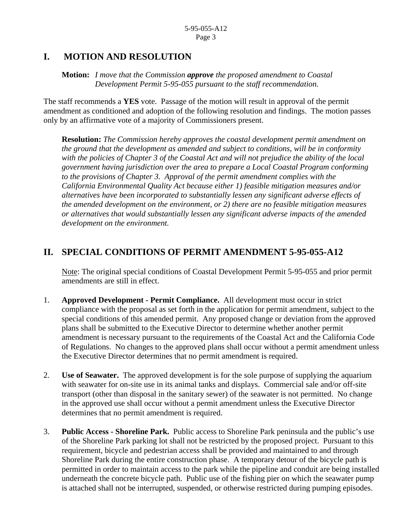## **I. MOTION AND RESOLUTION**

 **Motion:** *I move that the Commission approve the proposed amendment to Coastal Development Permit 5-95-055 pursuant to the staff recommendation.* 

The staff recommends a **YES** vote. Passage of the motion will result in approval of the permit amendment as conditioned and adoption of the following resolution and findings. The motion passes only by an affirmative vote of a majority of Commissioners present.

**Resolution:** *The Commission hereby approves the coastal development permit amendment on the ground that the development as amended and subject to conditions, will be in conformity with the policies of Chapter 3 of the Coastal Act and will not prejudice the ability of the local government having jurisdiction over the area to prepare a Local Coastal Program conforming to the provisions of Chapter 3. Approval of the permit amendment complies with the California Environmental Quality Act because either 1) feasible mitigation measures and/or alternatives have been incorporated to substantially lessen any significant adverse effects of the amended development on the environment, or 2) there are no feasible mitigation measures or alternatives that would substantially lessen any significant adverse impacts of the amended development on the environment.* 

# **II. SPECIAL CONDITIONS OF PERMIT AMENDMENT 5-95-055-A12**

Note: The original special conditions of Coastal Development Permit 5-95-055 and prior permit amendments are still in effect.

- 1. **Approved Development Permit Compliance.** All development must occur in strict compliance with the proposal as set forth in the application for permit amendment, subject to the special conditions of this amended permit. Any proposed change or deviation from the approved plans shall be submitted to the Executive Director to determine whether another permit amendment is necessary pursuant to the requirements of the Coastal Act and the California Code of Regulations. No changes to the approved plans shall occur without a permit amendment unless the Executive Director determines that no permit amendment is required.
- 2. **Use of Seawater.** The approved development is for the sole purpose of supplying the aquarium with seawater for on-site use in its animal tanks and displays. Commercial sale and/or off-site transport (other than disposal in the sanitary sewer) of the seawater is not permitted. No change in the approved use shall occur without a permit amendment unless the Executive Director determines that no permit amendment is required.
- 3. **Public Access Shoreline Park.** Public access to Shoreline Park peninsula and the public's use of the Shoreline Park parking lot shall not be restricted by the proposed project. Pursuant to this requirement, bicycle and pedestrian access shall be provided and maintained to and through Shoreline Park during the entire construction phase. A temporary detour of the bicycle path is permitted in order to maintain access to the park while the pipeline and conduit are being installed underneath the concrete bicycle path. Public use of the fishing pier on which the seawater pump is attached shall not be interrupted, suspended, or otherwise restricted during pumping episodes.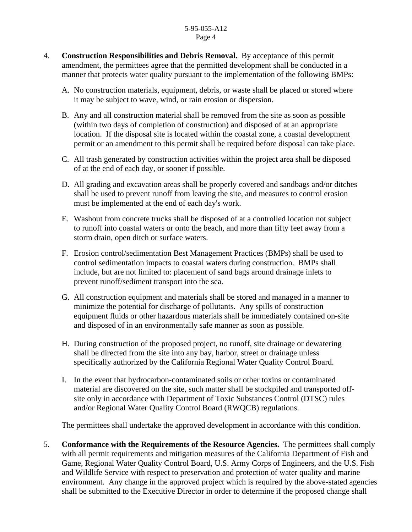#### 5-95-055-A12 Page 4

- 4. **Construction Responsibilities and Debris Removal.** By acceptance of this permit amendment, the permittees agree that the permitted development shall be conducted in a manner that protects water quality pursuant to the implementation of the following BMPs:
	- A. No construction materials, equipment, debris, or waste shall be placed or stored where it may be subject to wave, wind, or rain erosion or dispersion.
	- B. Any and all construction material shall be removed from the site as soon as possible (within two days of completion of construction) and disposed of at an appropriate location. If the disposal site is located within the coastal zone, a coastal development permit or an amendment to this permit shall be required before disposal can take place.
	- C. All trash generated by construction activities within the project area shall be disposed of at the end of each day, or sooner if possible.
	- D. All grading and excavation areas shall be properly covered and sandbags and/or ditches shall be used to prevent runoff from leaving the site, and measures to control erosion must be implemented at the end of each day's work.
	- E. Washout from concrete trucks shall be disposed of at a controlled location not subject to runoff into coastal waters or onto the beach, and more than fifty feet away from a storm drain, open ditch or surface waters.
	- F. Erosion control/sedimentation Best Management Practices (BMPs) shall be used to control sedimentation impacts to coastal waters during construction. BMPs shall include, but are not limited to: placement of sand bags around drainage inlets to prevent runoff/sediment transport into the sea.
	- G. All construction equipment and materials shall be stored and managed in a manner to minimize the potential for discharge of pollutants. Any spills of construction equipment fluids or other hazardous materials shall be immediately contained on-site and disposed of in an environmentally safe manner as soon as possible.
	- H. During construction of the proposed project, no runoff, site drainage or dewatering shall be directed from the site into any bay, harbor, street or drainage unless specifically authorized by the California Regional Water Quality Control Board.
	- I. In the event that hydrocarbon-contaminated soils or other toxins or contaminated material are discovered on the site, such matter shall be stockpiled and transported offsite only in accordance with Department of Toxic Substances Control (DTSC) rules and/or Regional Water Quality Control Board (RWQCB) regulations.

The permittees shall undertake the approved development in accordance with this condition.

5. **Conformance with the Requirements of the Resource Agencies.** The permittees shall comply with all permit requirements and mitigation measures of the California Department of Fish and Game, Regional Water Quality Control Board, U.S. Army Corps of Engineers, and the U.S. Fish and Wildlife Service with respect to preservation and protection of water quality and marine environment. Any change in the approved project which is required by the above-stated agencies shall be submitted to the Executive Director in order to determine if the proposed change shall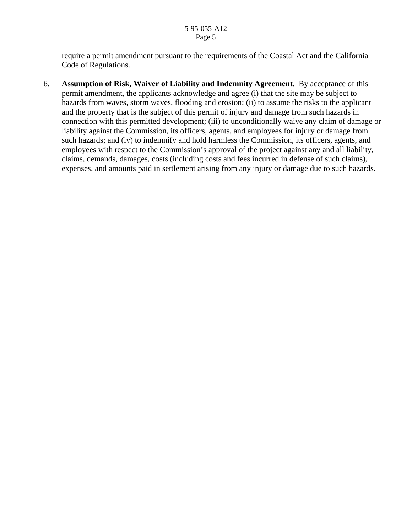require a permit amendment pursuant to the requirements of the Coastal Act and the California Code of Regulations.

6. **Assumption of Risk, Waiver of Liability and Indemnity Agreement.** By acceptance of this permit amendment, the applicants acknowledge and agree (i) that the site may be subject to hazards from waves, storm waves, flooding and erosion; (ii) to assume the risks to the applicant and the property that is the subject of this permit of injury and damage from such hazards in connection with this permitted development; (iii) to unconditionally waive any claim of damage or liability against the Commission, its officers, agents, and employees for injury or damage from such hazards; and (iv) to indemnify and hold harmless the Commission, its officers, agents, and employees with respect to the Commission's approval of the project against any and all liability, claims, demands, damages, costs (including costs and fees incurred in defense of such claims), expenses, and amounts paid in settlement arising from any injury or damage due to such hazards.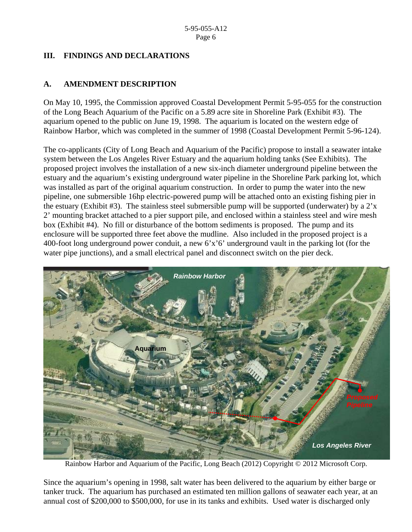#### **III. FINDINGS AND DECLARATIONS**

#### **A. AMENDMENT DESCRIPTION**

On May 10, 1995, the Commission approved Coastal Development Permit 5-95-055 for the construction of the Long Beach Aquarium of the Pacific on a 5.89 acre site in Shoreline Park (Exhibit #3). The aquarium opened to the public on June 19, 1998. The aquarium is located on the western edge of Rainbow Harbor, which was completed in the summer of 1998 (Coastal Development Permit 5-96-124).

The co-applicants (City of Long Beach and Aquarium of the Pacific) propose to install a seawater intake system between the Los Angeles River Estuary and the aquarium holding tanks (See Exhibits). The proposed project involves the installation of a new six-inch diameter underground pipeline between the estuary and the aquarium's existing underground water pipeline in the Shoreline Park parking lot, which was installed as part of the original aquarium construction. In order to pump the water into the new pipeline, one submersible 16hp electric-powered pump will be attached onto an existing fishing pier in the estuary (Exhibit #3). The stainless steel submersible pump will be supported (underwater) by a 2'x 2' mounting bracket attached to a pier support pile, and enclosed within a stainless steel and wire mesh box (Exhibit #4). No fill or disturbance of the bottom sediments is proposed. The pump and its enclosure will be supported three feet above the mudline. Also included in the proposed project is a 400-foot long underground power conduit, a new 6'x'6' underground vault in the parking lot (for the water pipe junctions), and a small electrical panel and disconnect switch on the pier deck.



Rainbow Harbor and Aquarium of the Pacific, Long Beach (2012) Copyright © 2012 Microsoft Corp.

Since the aquarium's opening in 1998, salt water has been delivered to the aquarium by either barge or tanker truck. The aquarium has purchased an estimated ten million gallons of seawater each year, at an annual cost of \$200,000 to \$500,000, for use in its tanks and exhibits. Used water is discharged only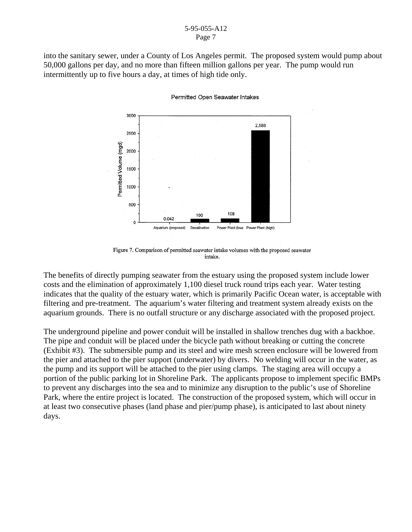#### 5-95-055-A12 Page 7

into the sanitary sewer, under a County of Los Angeles permit. The proposed system would pump about 50,000 gallons per day, and no more than fifteen million gallons per year. The pump would run intermittently up to five hours a day, at times of high tide only.



Permitted Open Seawater Intakes

Figure 7. Comparison of permitted seawater intake volumes with the proposed seawater intake.

The benefits of directly pumping seawater from the estuary using the proposed system include lower costs and the elimination of approximately 1,100 diesel truck round trips each year. Water testing indicates that the quality of the estuary water, which is primarily Pacific Ocean water, is acceptable with filtering and pre-treatment. The aquarium's water filtering and treatment system already exists on the aquarium grounds. There is no outfall structure or any discharge associated with the proposed project.

The underground pipeline and power conduit will be installed in shallow trenches dug with a backhoe. The pipe and conduit will be placed under the bicycle path without breaking or cutting the concrete (Exhibit #3). The submersible pump and its steel and wire mesh screen enclosure will be lowered from the pier and attached to the pier support (underwater) by divers. No welding will occur in the water, as the pump and its support will be attached to the pier using clamps. The staging area will occupy a portion of the public parking lot in Shoreline Park. The applicants propose to implement specific BMPs to prevent any discharges into the sea and to minimize any disruption to the public's use of Shoreline Park, where the entire project is located. The construction of the proposed system, which will occur in at least two consecutive phases (land phase and pier/pump phase), is anticipated to last about ninety days.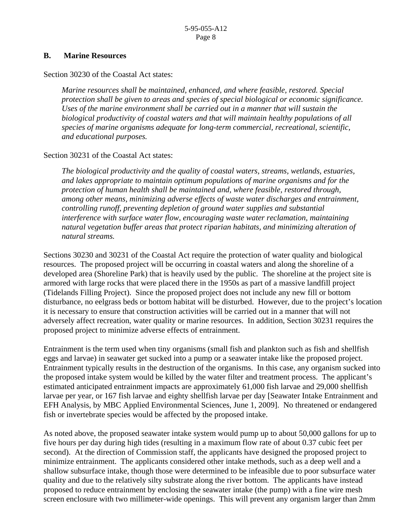#### **B. Marine Resources**

Section 30230 of the Coastal Act states:

*Marine resources shall be maintained, enhanced, and where feasible, restored. Special protection shall be given to areas and species of special biological or economic significance. Uses of the marine environment shall be carried out in a manner that will sustain the biological productivity of coastal waters and that will maintain healthy populations of all species of marine organisms adequate for long-term commercial, recreational, scientific, and educational purposes.* 

#### Section 30231 of the Coastal Act states:

*The biological productivity and the quality of coastal waters, streams, wetlands, estuaries, and lakes appropriate to maintain optimum populations of marine organisms and for the protection of human health shall be maintained and, where feasible, restored through, among other means, minimizing adverse effects of waste water discharges and entrainment, controlling runoff, preventing depletion of ground water supplies and substantial interference with surface water flow, encouraging waste water reclamation, maintaining natural vegetation buffer areas that protect riparian habitats, and minimizing alteration of natural streams.* 

Sections 30230 and 30231 of the Coastal Act require the protection of water quality and biological resources. The proposed project will be occurring in coastal waters and along the shoreline of a developed area (Shoreline Park) that is heavily used by the public. The shoreline at the project site is armored with large rocks that were placed there in the 1950s as part of a massive landfill project (Tidelands Filling Project). Since the proposed project does not include any new fill or bottom disturbance, no eelgrass beds or bottom habitat will be disturbed. However, due to the project's location it is necessary to ensure that construction activities will be carried out in a manner that will not adversely affect recreation, water quality or marine resources. In addition, Section 30231 requires the proposed project to minimize adverse effects of entrainment.

Entrainment is the term used when tiny organisms (small fish and plankton such as fish and shellfish eggs and larvae) in seawater get sucked into a pump or a seawater intake like the proposed project. Entrainment typically results in the destruction of the organisms. In this case, any organism sucked into the proposed intake system would be killed by the water filter and treatment process. The applicant's estimated anticipated entrainment impacts are approximately 61,000 fish larvae and 29,000 shellfish larvae per year, or 167 fish larvae and eighty shellfish larvae per day [Seawater Intake Entrainment and EFH Analysis, by MBC Applied Environmental Sciences, June 1, 2009]. No threatened or endangered fish or invertebrate species would be affected by the proposed intake.

As noted above, the proposed seawater intake system would pump up to about 50,000 gallons for up to five hours per day during high tides (resulting in a maximum flow rate of about 0.37 cubic feet per second). At the direction of Commission staff, the applicants have designed the proposed project to minimize entrainment. The applicants considered other intake methods, such as a deep well and a shallow subsurface intake, though those were determined to be infeasible due to poor subsurface water quality and due to the relatively silty substrate along the river bottom. The applicants have instead proposed to reduce entrainment by enclosing the seawater intake (the pump) with a fine wire mesh screen enclosure with two millimeter-wide openings. This will prevent any organism larger than 2mm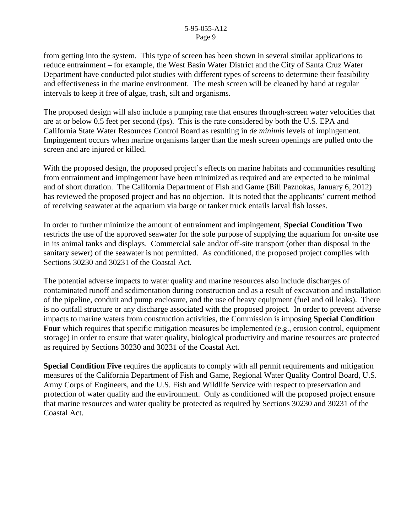from getting into the system. This type of screen has been shown in several similar applications to reduce entrainment – for example, the West Basin Water District and the City of Santa Cruz Water Department have conducted pilot studies with different types of screens to determine their feasibility and effectiveness in the marine environment. The mesh screen will be cleaned by hand at regular intervals to keep it free of algae, trash, silt and organisms.

The proposed design will also include a pumping rate that ensures through-screen water velocities that are at or below 0.5 feet per second (fps). This is the rate considered by both the U.S. EPA and California State Water Resources Control Board as resulting in *de minimis* levels of impingement. Impingement occurs when marine organisms larger than the mesh screen openings are pulled onto the screen and are injured or killed.

With the proposed design, the proposed project's effects on marine habitats and communities resulting from entrainment and impingement have been minimized as required and are expected to be minimal and of short duration. The California Department of Fish and Game (Bill Paznokas, January 6, 2012) has reviewed the proposed project and has no objection. It is noted that the applicants' current method of receiving seawater at the aquarium via barge or tanker truck entails larval fish losses.

In order to further minimize the amount of entrainment and impingement, **Special Condition Two** restricts the use of the approved seawater for the sole purpose of supplying the aquarium for on-site use in its animal tanks and displays. Commercial sale and/or off-site transport (other than disposal in the sanitary sewer) of the seawater is not permitted. As conditioned, the proposed project complies with Sections 30230 and 30231 of the Coastal Act.

The potential adverse impacts to water quality and marine resources also include discharges of contaminated runoff and sedimentation during construction and as a result of excavation and installation of the pipeline, conduit and pump enclosure, and the use of heavy equipment (fuel and oil leaks). There is no outfall structure or any discharge associated with the proposed project. In order to prevent adverse impacts to marine waters from construction activities, the Commission is imposing **Special Condition Four** which requires that specific mitigation measures be implemented (e.g., erosion control, equipment storage) in order to ensure that water quality, biological productivity and marine resources are protected as required by Sections 30230 and 30231 of the Coastal Act.

**Special Condition Five** requires the applicants to comply with all permit requirements and mitigation measures of the California Department of Fish and Game, Regional Water Quality Control Board, U.S. Army Corps of Engineers, and the U.S. Fish and Wildlife Service with respect to preservation and protection of water quality and the environment. Only as conditioned will the proposed project ensure that marine resources and water quality be protected as required by Sections 30230 and 30231 of the Coastal Act.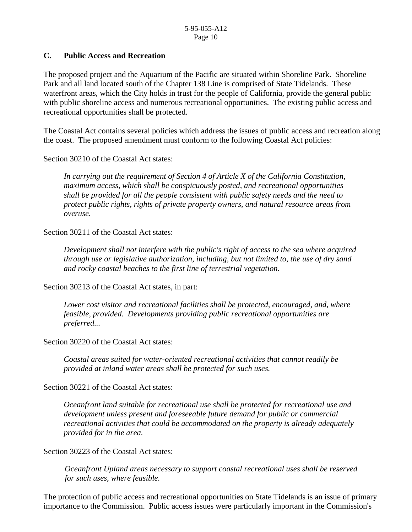#### **C. Public Access and Recreation**

The proposed project and the Aquarium of the Pacific are situated within Shoreline Park. Shoreline Park and all land located south of the Chapter 138 Line is comprised of State Tidelands. These waterfront areas, which the City holds in trust for the people of California, provide the general public with public shoreline access and numerous recreational opportunities. The existing public access and recreational opportunities shall be protected.

The Coastal Act contains several policies which address the issues of public access and recreation along the coast. The proposed amendment must conform to the following Coastal Act policies:

Section 30210 of the Coastal Act states:

*In carrying out the requirement of Section 4 of Article X of the California Constitution, maximum access, which shall be conspicuously posted, and recreational opportunities shall be provided for all the people consistent with public safety needs and the need to protect public rights, rights of private property owners, and natural resource areas from overuse.* 

Section 30211 of the Coastal Act states:

*Development shall not interfere with the public's right of access to the sea where acquired through use or legislative authorization, including, but not limited to, the use of dry sand and rocky coastal beaches to the first line of terrestrial vegetation.* 

Section 30213 of the Coastal Act states, in part:

*Lower cost visitor and recreational facilities shall be protected, encouraged, and, where feasible, provided. Developments providing public recreational opportunities are preferred...* 

Section 30220 of the Coastal Act states:

*Coastal areas suited for water-oriented recreational activities that cannot readily be provided at inland water areas shall be protected for such uses.* 

Section 30221 of the Coastal Act states:

*Oceanfront land suitable for recreational use shall be protected for recreational use and development unless present and foreseeable future demand for public or commercial recreational activities that could be accommodated on the property is already adequately provided for in the area.* 

Section 30223 of the Coastal Act states:

*Oceanfront Upland areas necessary to support coastal recreational uses shall be reserved for such uses, where feasible.* 

The protection of public access and recreational opportunities on State Tidelands is an issue of primary importance to the Commission. Public access issues were particularly important in the Commission's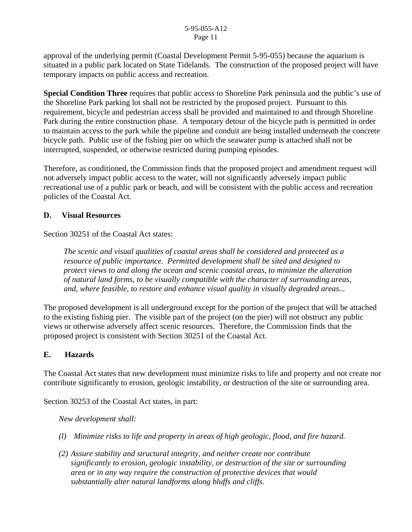approval of the underlying permit (Coastal Development Permit 5-95-055) because the aquarium is situated in a public park located on State Tidelands. The construction of the proposed project will have temporary impacts on public access and recreation.

**Special Condition Three** requires that public access to Shoreline Park peninsula and the public's use of the Shoreline Park parking lot shall not be restricted by the proposed project. Pursuant to this requirement, bicycle and pedestrian access shall be provided and maintained to and through Shoreline Park during the entire construction phase. A temporary detour of the bicycle path is permitted in order to maintain access to the park while the pipeline and conduit are being installed underneath the concrete bicycle path. Public use of the fishing pier on which the seawater pump is attached shall not be interrupted, suspended, or otherwise restricted during pumping episodes.

Therefore, as conditioned, the Commission finds that the proposed project and amendment request will not adversely impact public access to the water, will not significantly adversely impact public recreational use of a public park or beach, and will be consistent with the public access and recreation policies of the Coastal Act.

#### **D. Visual Resources**

Section 30251 of the Coastal Act states:

*The scenic and visual qualities of coastal areas shall be considered and protected as a resource of public importance. Permitted development shall be sited and designed to protect views to and along the ocean and scenic coastal areas, to minimize the alteration of natural land forms, to be visually compatible with the character of surrounding areas, and, where feasible, to restore and enhance visual quality in visually degraded areas...* 

The proposed development is all underground except for the portion of the project that will be attached to the existing fishing pier. The visible part of the project (on the pier) will not obstruct any public views or otherwise adversely affect scenic resources. Therefore, the Commission finds that the proposed project is consistent with Section 30251 of the Coastal Act.

#### **E. Hazards**

The Coastal Act states that new development must minimize risks to life and property and not create nor contribute significantly to erosion, geologic instability, or destruction of the site or surrounding area.

Section 30253 of the Coastal Act states, in part:

*New development shall:* 

- *(l) Minimize risks to life and property in areas of high geologic, flood, and fire hazard.*
- *(2) Assure stability and structural integrity, and neither create nor contribute significantly to erosion, geologic instability, or destruction of the site or surrounding area or in any way require the construction of protective devices that would substantially alter natural landforms along bluffs and cliffs.*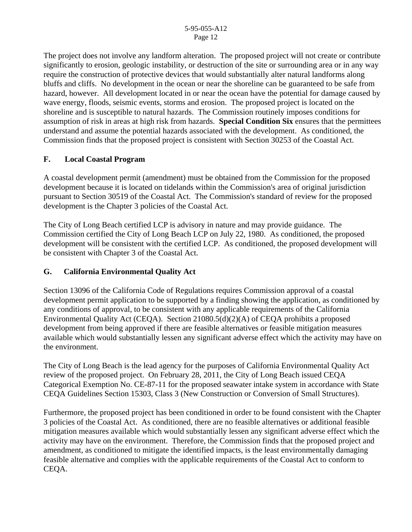The project does not involve any landform alteration. The proposed project will not create or contribute significantly to erosion, geologic instability, or destruction of the site or surrounding area or in any way require the construction of protective devices that would substantially alter natural landforms along bluffs and cliffs. No development in the ocean or near the shoreline can be guaranteed to be safe from hazard, however. All development located in or near the ocean have the potential for damage caused by wave energy, floods, seismic events, storms and erosion. The proposed project is located on the shoreline and is susceptible to natural hazards. The Commission routinely imposes conditions for assumption of risk in areas at high risk from hazards. **Special Condition Six** ensures that the permittees understand and assume the potential hazards associated with the development. As conditioned, the Commission finds that the proposed project is consistent with Section 30253 of the Coastal Act.

#### **F. Local Coastal Program**

A coastal development permit (amendment) must be obtained from the Commission for the proposed development because it is located on tidelands within the Commission's area of original jurisdiction pursuant to Section 30519 of the Coastal Act. The Commission's standard of review for the proposed development is the Chapter 3 policies of the Coastal Act.

The City of Long Beach certified LCP is advisory in nature and may provide guidance. The Commission certified the City of Long Beach LCP on July 22, 1980. As conditioned, the proposed development will be consistent with the certified LCP. As conditioned, the proposed development will be consistent with Chapter 3 of the Coastal Act.

#### **G. California Environmental Quality Act**

Section 13096 of the California Code of Regulations requires Commission approval of a coastal development permit application to be supported by a finding showing the application, as conditioned by any conditions of approval, to be consistent with any applicable requirements of the California Environmental Quality Act (CEQA). Section 21080.5(d)(2)(A) of CEQA prohibits a proposed development from being approved if there are feasible alternatives or feasible mitigation measures available which would substantially lessen any significant adverse effect which the activity may have on the environment.

The City of Long Beach is the lead agency for the purposes of California Environmental Quality Act review of the proposed project. On February 28, 2011, the City of Long Beach issued CEQA Categorical Exemption No. CE-87-11 for the proposed seawater intake system in accordance with State CEQA Guidelines Section 15303, Class 3 (New Construction or Conversion of Small Structures).

Furthermore, the proposed project has been conditioned in order to be found consistent with the Chapter 3 policies of the Coastal Act. As conditioned, there are no feasible alternatives or additional feasible mitigation measures available which would substantially lessen any significant adverse effect which the activity may have on the environment. Therefore, the Commission finds that the proposed project and amendment, as conditioned to mitigate the identified impacts, is the least environmentally damaging feasible alternative and complies with the applicable requirements of the Coastal Act to conform to CEQA.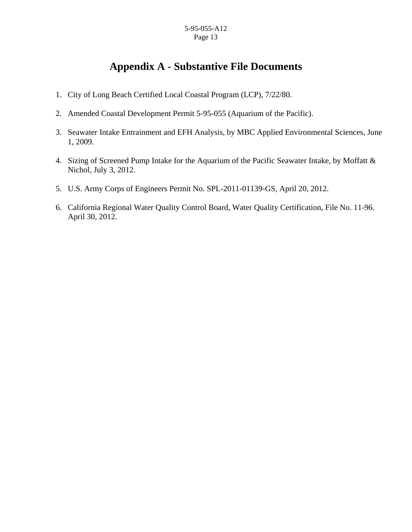# **Appendix A - Substantive File Documents**

- 1. City of Long Beach Certified Local Coastal Program (LCP), 7/22/80.
- 2. Amended Coastal Development Permit 5-95-055 (Aquarium of the Pacific).
- 3. Seawater Intake Entrainment and EFH Analysis, by MBC Applied Environmental Sciences, June 1, 2009.
- 4. Sizing of Screened Pump Intake for the Aquarium of the Pacific Seawater Intake, by Moffatt & Nichol, July 3, 2012.
- 5. U.S. Army Corps of Engineers Permit No. SPL-2011-01139-GS, April 20, 2012.
- 6. California Regional Water Quality Control Board, Water Quality Certification, File No. 11-96. April 30, 2012.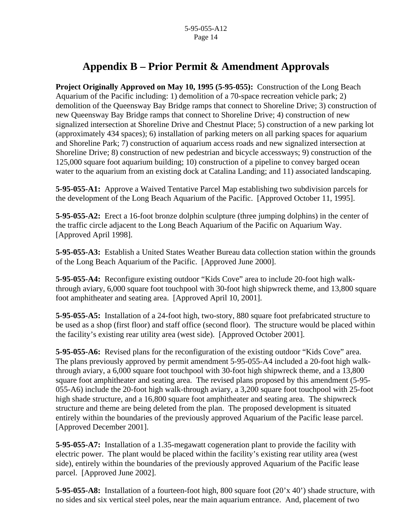# **Appendix B – Prior Permit & Amendment Approvals**

**Project Originally Approved on May 10, 1995 (5-95-055):** Construction of the Long Beach Aquarium of the Pacific including: 1) demolition of a 70-space recreation vehicle park; 2) demolition of the Queensway Bay Bridge ramps that connect to Shoreline Drive; 3) construction of new Queensway Bay Bridge ramps that connect to Shoreline Drive; 4) construction of new signalized intersection at Shoreline Drive and Chestnut Place; 5) construction of a new parking lot (approximately 434 spaces); 6) installation of parking meters on all parking spaces for aquarium and Shoreline Park; 7) construction of aquarium access roads and new signalized intersection at Shoreline Drive; 8) construction of new pedestrian and bicycle accessways; 9) construction of the 125,000 square foot aquarium building; 10) construction of a pipeline to convey barged ocean water to the aquarium from an existing dock at Catalina Landing; and 11) associated landscaping.

**5-95-055-A1:** Approve a Waived Tentative Parcel Map establishing two subdivision parcels for the development of the Long Beach Aquarium of the Pacific. [Approved October 11, 1995].

**5-95-055-A2:** Erect a 16-foot bronze dolphin sculpture (three jumping dolphins) in the center of the traffic circle adjacent to the Long Beach Aquarium of the Pacific on Aquarium Way. [Approved April 1998].

**5-95-055-A3:** Establish a United States Weather Bureau data collection station within the grounds of the Long Beach Aquarium of the Pacific. [Approved June 2000].

 **5-95-055-A4:** Reconfigure existing outdoor "Kids Cove" area to include 20-foot high walkthrough aviary, 6,000 square foot touchpool with 30-foot high shipwreck theme, and 13,800 square foot amphitheater and seating area. [Approved April 10, 2001].

 **5-95-055-A5:** Installation of a 24-foot high, two-story, 880 square foot prefabricated structure to be used as a shop (first floor) and staff office (second floor). The structure would be placed within the facility's existing rear utility area (west side). [Approved October 2001].

 **5-95-055-A6:** Revised plans for the reconfiguration of the existing outdoor "Kids Cove" area. The plans previously approved by permit amendment 5-95-055-A4 included a 20-foot high walkthrough aviary, a 6,000 square foot touchpool with 30-foot high shipwreck theme, and a 13,800 square foot amphitheater and seating area. The revised plans proposed by this amendment (5-95- 055-A6) include the 20-foot high walk-through aviary, a 3,200 square foot touchpool with 25-foot high shade structure, and a 16,800 square foot amphitheater and seating area. The shipwreck structure and theme are being deleted from the plan. The proposed development is situated entirely within the boundaries of the previously approved Aquarium of the Pacific lease parcel. [Approved December 2001].

 **5-95-055-A7:** Installation of a 1.35-megawatt cogeneration plant to provide the facility with electric power. The plant would be placed within the facility's existing rear utility area (west side), entirely within the boundaries of the previously approved Aquarium of the Pacific lease parcel. [Approved June 2002].

 **5-95-055-A8:** Installation of a fourteen-foot high, 800 square foot (20'x 40') shade structure, with no sides and six vertical steel poles, near the main aquarium entrance. And, placement of two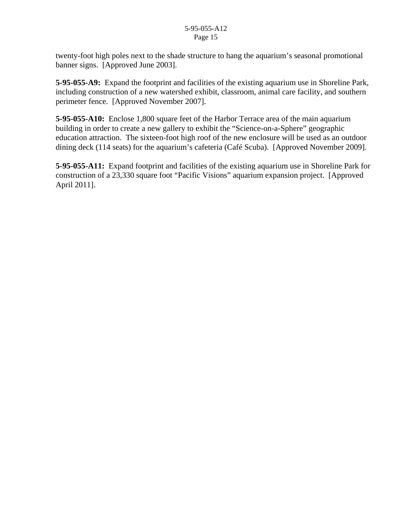twenty-foot high poles next to the shade structure to hang the aquarium's seasonal promotional banner signs. [Approved June 2003].

 **5-95-055-A9:** Expand the footprint and facilities of the existing aquarium use in Shoreline Park, including construction of a new watershed exhibit, classroom, animal care facility, and southern perimeter fence. [Approved November 2007].

 **5-95-055-A10:** Enclose 1,800 square feet of the Harbor Terrace area of the main aquarium building in order to create a new gallery to exhibit the "Science-on-a-Sphere" geographic education attraction. The sixteen-foot high roof of the new enclosure will be used as an outdoor dining deck (114 seats) for the aquarium's cafeteria (Café Scuba). [Approved November 2009].

 **5-95-055-A11:** Expand footprint and facilities of the existing aquarium use in Shoreline Park for construction of a 23,330 square foot "Pacific Visions" aquarium expansion project. [Approved April 2011].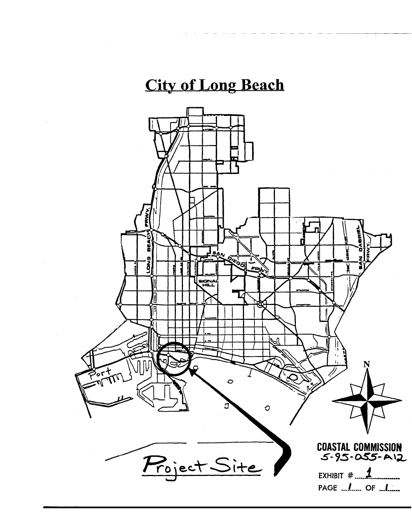# **City of Long Beach**

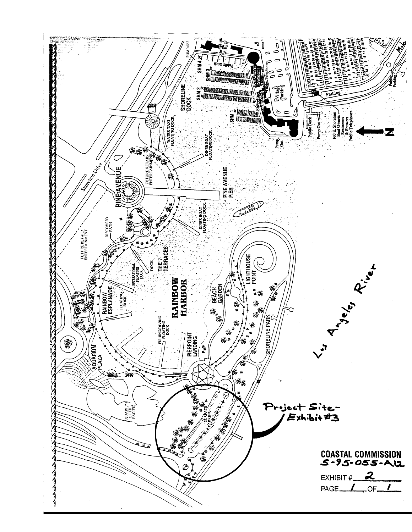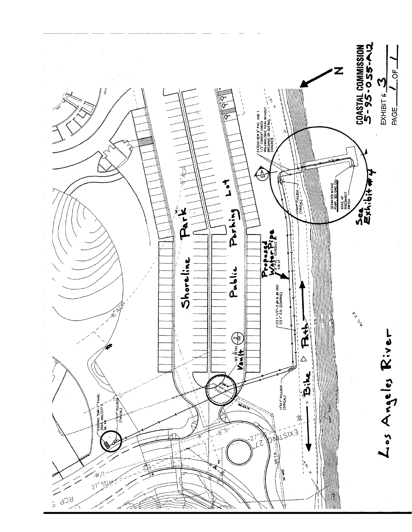![](_page_17_Figure_0.jpeg)